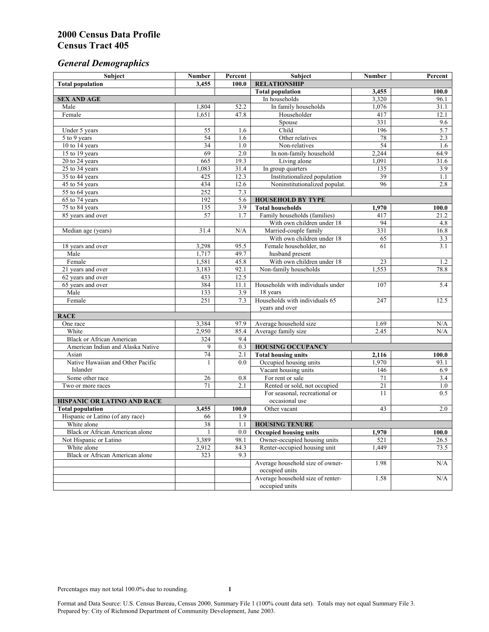# *General Demographics*

| Subject                           | <b>Number</b>   | Percent    | Subject                                                 | <b>Number</b> | Percent       |
|-----------------------------------|-----------------|------------|---------------------------------------------------------|---------------|---------------|
| <b>Total population</b>           | 3,455           | 100.0      | <b>RELATIONSHIP</b>                                     |               |               |
|                                   |                 |            | <b>Total population</b>                                 | 3,455         | 100.0         |
| <b>SEX AND AGE</b>                |                 |            | In households                                           | 3,320         | 96.1          |
| Male                              | 1,804           | 52.2       | In family households                                    | 1,076         | 31.1          |
| Female                            | 1,651           | 47.8       | Householder                                             | 417           | 12.1          |
|                                   |                 |            | Spouse                                                  | 331           | 9.6           |
| Under 5 years                     | 55              | 1.6        | Child                                                   | 196           | 5.7           |
| 5 to 9 years                      | 54              | 1.6        | Other relatives                                         | 78            | 2.3           |
| 10 to 14 years                    | 34              | 1.0        | Non-relatives                                           | 54            | 1.6           |
| 15 to 19 years                    | 69              | 2.0        | In non-family household                                 | 2,244         | 64.9          |
| 20 to 24 years                    | 665             | 19.3       | Living alone                                            | 1,091         | 31.6          |
| 25 to 34 years                    | 1,083           | 31.4       | In group quarters                                       | 135           | 3.9           |
| 35 to 44 years                    | 425             | 12.3       | Institutionalized population                            | 39            | 1.1           |
| 45 to 54 years                    | 434             | 12.6       | Noninstitutionalized populat.                           | 96            | 2.8           |
| 55 to 64 years                    | 252             | 7.3        |                                                         |               |               |
| 65 to 74 years                    | 192             | 5.6        | <b>HOUSEHOLD BY TYPE</b>                                |               |               |
| 75 to 84 years                    | 135<br>57       | 3.9<br>1.7 | <b>Total households</b><br>Family households (families) | 1,970<br>417  | 100.0<br>21.2 |
| 85 years and over                 |                 |            | With own children under 18                              | 94            |               |
|                                   | 31.4            | N/A        | Married-couple family                                   | 331           | 4.8<br>16.8   |
| Median age (years)                |                 |            | With own children under 18                              | 65            | 3.3           |
| 18 years and over                 | 3,298           | 95.5       | Female householder, no                                  | 61            | 3.1           |
| Male                              | 1,717           | 49.7       | husband present                                         |               |               |
| Female                            | 1,581           | 45.8       | With own children under 18                              | 23            | 1.2           |
| 21 years and over                 | 3,183           | 92.1       | Non-family households                                   | 1,553         | 78.8          |
| 62 years and over                 | 433             | 12.5       |                                                         |               |               |
| 65 years and over                 | 384             | 11.1       | Households with individuals under                       | 107           | 5.4           |
| Male                              | 133             | 3.9        | 18 years                                                |               |               |
| Female                            | 251             | 7.3        | Households with individuals 65                          | 247           | 12.5          |
|                                   |                 |            | years and over                                          |               |               |
| <b>RACE</b>                       |                 |            |                                                         |               |               |
| One race                          | 3,384           | 97.9       | Average household size                                  | 1.69          | $\rm N/A$     |
| White                             | 2,950           | 85.4       | Average family size                                     | 2.45          | N/A           |
| <b>Black or African American</b>  | 324             | 9.4        |                                                         |               |               |
| American Indian and Alaska Native | 9               | 0.3        | <b>HOUSING OCCUPANCY</b>                                |               |               |
| Asian                             | 74              | 2.1        | <b>Total housing units</b>                              | 2,116         | 100.0         |
| Native Hawaiian and Other Pacific | 1               | 0.0        | Occupied housing units                                  | 1,970         | 93.1          |
| Islander                          |                 |            | Vacant housing units                                    | 146           | 6.9           |
| Some other race                   | 26              | 0.8        | For rent or sale                                        | 71            | 3.4           |
| Two or more races                 | 71              | 2.1        | Rented or sold, not occupied                            | 21            | 1.0           |
|                                   |                 |            | For seasonal, recreational or                           | 11            | 0.5           |
| HISPANIC OR LATINO AND RACE       |                 |            | occasional use                                          |               |               |
| <b>Total population</b>           | 3,455           | 100.0      | Other vacant                                            | 43            | 2.0           |
| Hispanic or Latino (of any race)  | 66              | 1.9        |                                                         |               |               |
| White alone                       | $\overline{38}$ | 1.1        | <b>HOUSING TENURE</b>                                   |               |               |
| Black or African American alone   | $\mathbf{1}$    | 0.0        | <b>Occupied housing units</b>                           | 1,970         | 100.0         |
| Not Hispanic or Latino            | 3,389           | 98.1       | Owner-occupied housing units                            | 521           | 26.5          |
| White alone                       | 2,912           | 84.3       | Renter-occupied housing unit                            | 1,449         | 73.5          |
| Black or African American alone   | 323             | 9.3        |                                                         |               |               |
|                                   |                 |            | Average household size of owner-                        | 1.98          | N/A           |
|                                   |                 |            | occupied units                                          |               |               |
|                                   |                 |            | Average household size of renter-                       | 1.58          | N/A           |
|                                   |                 |            | occupied units                                          |               |               |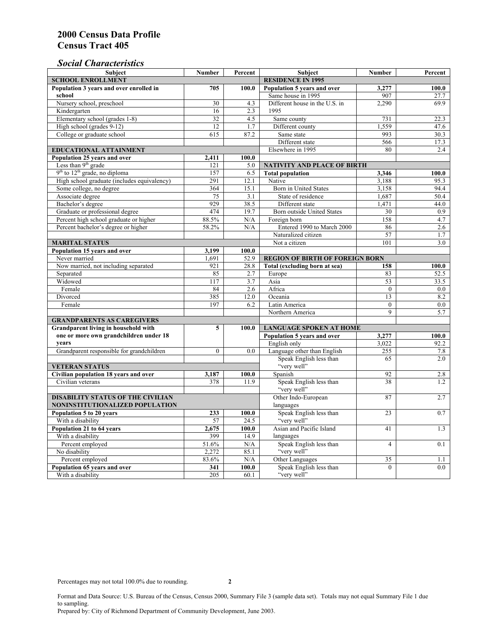# *Social Characteristics*

| <b>Subject</b>                                                            | <b>Number</b>            | Percent                        | <b>Subject</b>                         | <b>Number</b>                      | Percent |
|---------------------------------------------------------------------------|--------------------------|--------------------------------|----------------------------------------|------------------------------------|---------|
| <b>SCHOOL ENROLLMENT</b>                                                  | <b>RESIDENCE IN 1995</b> |                                |                                        |                                    |         |
| Population 3 years and over enrolled in                                   | 705                      | 100.0                          | Population 5 years and over            | 3,277                              | 100.0   |
| school                                                                    |                          |                                | Same house in 1995                     | 907                                | 27.7    |
| Nursery school, preschool                                                 | 30                       | 4.3                            | Different house in the U.S. in         | 2,290                              | 69.9    |
| Kindergarten                                                              | 16                       | 2.3                            | 1995                                   |                                    |         |
| Elementary school (grades 1-8)                                            | 32                       | 4.5                            | Same county                            | 731                                | 22.3    |
| High school (grades 9-12)                                                 | 12                       | 1.7                            | Different county                       | 1.559                              | 47.6    |
| College or graduate school                                                | 615                      | 87.2                           | Same state                             | 993                                | 30.3    |
|                                                                           |                          |                                | Different state                        | 566                                | 17.3    |
| EDUCATIONAL ATTAINMENT                                                    |                          |                                | Elsewhere in 1995                      | 80                                 | 2.4     |
| Population 25 years and over                                              | 2,411                    | 100.0                          |                                        |                                    |         |
| Less than 9 <sup>th</sup> grade                                           | 121                      | 5.0                            | NATIVITY AND PLACE OF BIRTH            |                                    |         |
| $9th$ to $12th$ grade, no diploma                                         | 157                      | 6.5                            | <b>Total population</b>                | 3,346                              | 100.0   |
| High school graduate (includes equivalency)                               | 291                      | 12.1                           | Native                                 | 3.188                              | 95.3    |
| Some college, no degree                                                   | 364                      | 15.1                           | Born in United States                  | 3,158                              | 94.4    |
| Associate degree                                                          | 75                       | 3.1                            | State of residence                     | 1,687                              | 50.4    |
| Bachelor's degree                                                         | 929                      | 38.5                           | Different state                        | 1,471                              | 44.0    |
| Graduate or professional degree                                           | 474                      | 19.7                           | Born outside United States             | 30                                 | 0.9     |
| Percent high school graduate or higher                                    | 88.5%                    | N/A                            | Foreign born                           | 158                                | 4.7     |
| Percent bachelor's degree or higher                                       | 58.2%                    | N/A                            | Entered 1990 to March 2000             | 86                                 | 2.6     |
|                                                                           |                          |                                | Naturalized citizen                    | 57                                 | 1.7     |
| <b>MARITAL STATUS</b>                                                     |                          | Not a citizen                  | 101                                    | 3.0                                |         |
| Population 15 years and over                                              | 3,199                    | 100.0                          |                                        |                                    |         |
| Never married                                                             | 1,691                    | 52.9                           | <b>REGION OF BIRTH OF FOREIGN BORN</b> |                                    |         |
| Now married, not including separated                                      | 921                      | 28.8                           | Total (excluding born at sea)          | 158                                | 100.0   |
| Separated                                                                 | 85                       | 2.7                            | Europe                                 | 83                                 | 52.5    |
| Widowed                                                                   | 117                      | 3.7                            | Asia                                   | 53                                 | 33.5    |
| Female                                                                    | 84                       | 2.6                            | Africa                                 | $\Omega$                           | $0.0\,$ |
| Divorced                                                                  | 385<br>197               | 12.0                           | Oceania                                | 13                                 | 8.2     |
| Female                                                                    |                          | 6.2                            | Latin America                          | $\boldsymbol{0}$<br>$\overline{9}$ | $0.0\,$ |
|                                                                           |                          |                                | Northern America                       |                                    | 5.7     |
| <b>GRANDPARENTS AS CAREGIVERS</b><br>Grandparent living in household with | 5                        | <b>LANGUAGE SPOKEN AT HOME</b> |                                        |                                    |         |
| one or more own grandchildren under 18                                    |                          | 100.0                          | Population 5 years and over            | 3,277                              | 100.0   |
| years                                                                     |                          |                                | English only                           | 3,022                              | 92.2    |
| Grandparent responsible for grandchildren                                 | $\overline{0}$           | 0.0                            | Language other than English            | 255                                | 7.8     |
|                                                                           |                          |                                | Speak English less than                | 65                                 | 2.0     |
| <b>VETERAN STATUS</b>                                                     |                          |                                | "very well"                            |                                    |         |
| Civilian population 18 years and over                                     | 3,187                    | 100.0                          | Spanish                                | 92                                 | 2.8     |
| Civilian veterans                                                         | 378                      | 11.9                           | Speak English less than                | 38                                 | 1.2     |
|                                                                           |                          |                                | "very well"                            |                                    |         |
| <b>DISABILITY STATUS OF THE CIVILIAN</b>                                  | Other Indo-European      | 87                             | 2.7                                    |                                    |         |
| NONINSTITUTIONALIZED POPULATION                                           | languages                |                                |                                        |                                    |         |
| Population 5 to 20 years                                                  | 233                      | 100.0                          | Speak English less than                | 23                                 | 0.7     |
| With a disability                                                         | 57                       | 24.5                           | "very well"                            |                                    |         |
| Population 21 to 64 years                                                 | 2.675                    | 100.0                          | Asian and Pacific Island               | 41                                 | 1.3     |
| With a disability                                                         | 399                      | 14.9                           | languages                              |                                    |         |
| Percent employed                                                          | 51.6%                    | N/A                            | Speak English less than                | $\overline{4}$                     | 0.1     |
| No disability                                                             | 2,272                    | 85.1                           | "very well"                            |                                    |         |
| Percent employed                                                          | 83.6%                    | N/A                            | Other Languages                        | 35                                 | 1.1     |
| Population 65 years and over                                              | 341                      | 100.0                          | Speak English less than                | $\mathbf{0}$                       | 0.0     |
| With a disability                                                         | 205                      | 60.1                           | "very well"                            |                                    |         |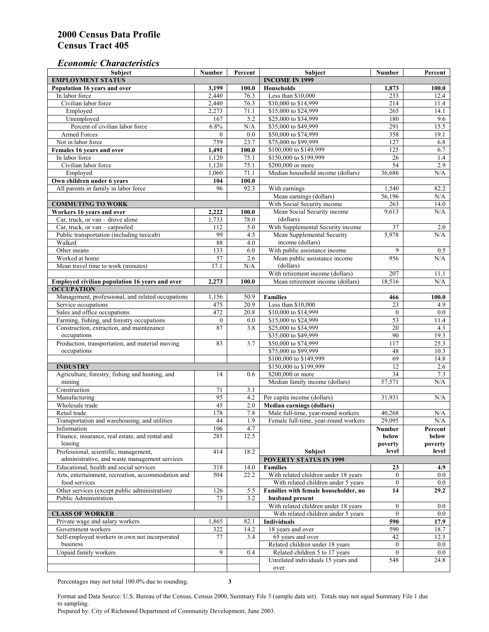# *Economic Characteristics*

| <b>Subject</b>                                     | Number           | Percent   | Subject                              | Number           | Percent |
|----------------------------------------------------|------------------|-----------|--------------------------------------|------------------|---------|
| <b>EMPLOYMENT STATUS</b>                           |                  |           | <b>INCOME IN 1999</b>                |                  |         |
| Population 16 years and over                       | 3,199            | 100.0     | Households                           | 1,873            | 100.0   |
| In labor force                                     | 2,440            | 76.3      | Less than \$10,000                   | 233              | 12.4    |
| Civilian labor force                               | 2,440            | 76.3      | \$10,000 to \$14,999                 | 214              | 11.4    |
| Employed                                           | 2,273            | 71.1      | \$15,000 to \$24,999                 | 265              | 14.1    |
| Unemployed                                         | 167              | 5.2       | \$25,000 to \$34,999                 | 180              | 9.6     |
| Percent of civilian labor force                    | 6.8%             | $\rm N/A$ | \$35,000 to \$49,999                 | 291              | 15.5    |
| Armed Forces                                       | $\mathbf{0}$     | 0.0       | \$50,000 to \$74,999                 | 358              | 19.1    |
| Not in labor force                                 | 759              | 23.7      | \$75,000 to \$99,999                 | 127              | 6.8     |
| Females 16 years and over                          | 1,491            | 100.0     | \$100,000 to \$149,999               | 125              | 6.7     |
| In labor force                                     | 1,120            | 75.1      | \$150,000 to \$199,999               | 26               | 1.4     |
| Civilian labor force                               | 1,120            | 75.1      | \$200,000 or more                    | 54               | 2.9     |
| Employed                                           | 1,060            | 71.1      | Median household income (dollars)    | 36,686           | N/A     |
| Own children under 6 years                         | 104              | 100.0     |                                      |                  |         |
| All parents in family in labor force               | 96               | 92.3      | With earnings                        | 1,540            | 82.2    |
|                                                    |                  |           | Mean earnings (dollars)              | 56,196           | N/A     |
| <b>COMMUTING TO WORK</b>                           |                  |           | With Social Security income          | 263              | 14.0    |
| Workers 16 years and over                          | 2,222            | 100.0     | Mean Social Security income          | 9,613            | N/A     |
| Car, truck, or van – drove alone                   | 1,733            | 78.0      | (dollars)                            |                  |         |
| Car, truck, or van - carpooled                     | 112              | 5.0       | With Supplemental Security income    | 37               | 2.0     |
| Public transportation (including taxicab)          | 99               | 4.5       | Mean Supplemental Security           | 5,978            | N/A     |
| Walked                                             | 88               | 4.0       | income (dollars)                     |                  |         |
|                                                    |                  |           |                                      |                  |         |
| Other means                                        | 133              | 6.0       | With public assistance income        | 9                | 0.5     |
| Worked at home                                     | 57               | 2.6       | Mean public assistance income        | 956              | N/A     |
| Mean travel time to work (minutes)                 | 17.1             | N/A       | (dollars)                            |                  |         |
|                                                    |                  |           | With retirement income (dollars)     | $\overline{207}$ | 11.1    |
| Employed civilian population 16 years and over     | 2,273            | 100.0     | Mean retirement income (dollars)     | 18,516           | N/A     |
| <b>OCCUPATION</b>                                  |                  |           |                                      |                  |         |
| Management, professional, and related occupations  | 1,156            | 50.9      | <b>Families</b>                      | 466              | 100.0   |
| Service occupations                                | 475              | 20.9      | Less than \$10,000                   | 23               | 4.9     |
| Sales and office occupations                       | 472              | 20.8      | \$10,000 to \$14,999                 | $\mathbf{0}$     | 0.0     |
| Farming, fishing, and forestry occupations         | $\boldsymbol{0}$ | 0.0       | \$15,000 to \$24,999                 | $\overline{53}$  | 11.4    |
| Construction, extraction, and maintenance          | 87               | 3.8       | \$25,000 to \$34,999                 | 20               | 4.3     |
| occupations                                        |                  |           | \$35,000 to \$49,999                 | 90               | 19.3    |
| Production, transportation, and material moving    | 83               | 3.7       | \$50,000 to \$74,999                 | 117              | 25.3    |
| occupations                                        |                  |           | \$75,000 to \$99,999                 | 48               | 10.3    |
|                                                    |                  |           | \$100,000 to \$149,999               | 69               | 14.8    |
| <b>INDUSTRY</b>                                    |                  |           | \$150,000 to \$199,999               | 12               | 2.6     |
| Agriculture, forestry, fishing and hunting, and    | 14               | 0.6       | \$200,000 or more                    | $\overline{34}$  | 7.3     |
| mining                                             |                  |           | Median family income (dollars)       | 57,571           | N/A     |
| Construction                                       | 71               | 3.1       |                                      |                  |         |
| Manufacturing                                      | 95               | 4.2       | Per capita income (dollars)          | 31,931           | N/A     |
| Wholesale trade                                    | 45               | 2.0       | <b>Median earnings (dollars)</b>     |                  |         |
| Retail trade                                       | 178              | $7.8\,$   | Male full-time, year-round workers   | 40,268           | N/A     |
| Transportation and warehousing, and utilities      | 44               | 1.9       | Female full-time, year-round workers | 29,095           | N/A     |
| Information                                        | 106              | 4.7       |                                      | Number           | Percent |
| Finance, insurance, real estate, and rental and    | 285              | 12.5      |                                      | below            | below   |
| leasing                                            |                  |           |                                      | poverty          | poverty |
| Professional, scientific, management,              | 414              | 18.2      | Subject                              | level            | level   |
| administrative, and waste management services      |                  |           | <b>POVERTY STATUS IN 1999</b>        |                  |         |
| Educational, health and social services            | 318              | 14.0      | <b>Families</b>                      | 23               | 4.9     |
| Arts, entertainment, recreation, accommodation and | 504              | 22.2      | With related children under 18 years | $\overline{0}$   | $0.0\,$ |
| food services                                      |                  |           | With related children under 5 years  | $\mathbf{0}$     | 0.0     |
| Other services (except public administration)      | 126              | 5.5       | Families with female householder, no | 14               | 29.2    |
| Public Administration                              | 73               | 3.2       | husband present                      |                  |         |
|                                                    |                  |           | With related children under 18 years | $\mathbf{0}$     | $0.0\,$ |
| <b>CLASS OF WORKER</b>                             |                  |           | With related children under 5 years  | $\overline{0}$   | 0.0     |
|                                                    |                  |           |                                      |                  |         |
| Private wage and salary workers                    | 1,865            | 82.1      | Individuals                          | 590              | 17.9    |
| Government workers                                 | 322              | 14.2      | 18 years and over                    | 590              | 18.7    |
| Self-employed workers in own not incorporated      | 77               | 3.4       | 65 years and over                    | 42               | 12.3    |
| business                                           |                  |           | Related children under 18 years      | $\overline{0}$   | $0.0\,$ |
| Unpaid family workers                              | 9                | 0.4       | Related children 5 to 17 years       | $\overline{0}$   | $0.0\,$ |
|                                                    |                  |           | Unrelated individuals 15 years and   | 548              | 24.8    |
|                                                    |                  |           | over                                 |                  |         |

Percentages may not total 100.0% due to rounding. **3** 

Format and Data Source: U.S. Bureau of the Census, Census 2000, Summary File 3 (sample data set). Totals may not equal Summary File 1 due to sampling.

Prepared by: City of Richmond Department of Community Development, June 2003.